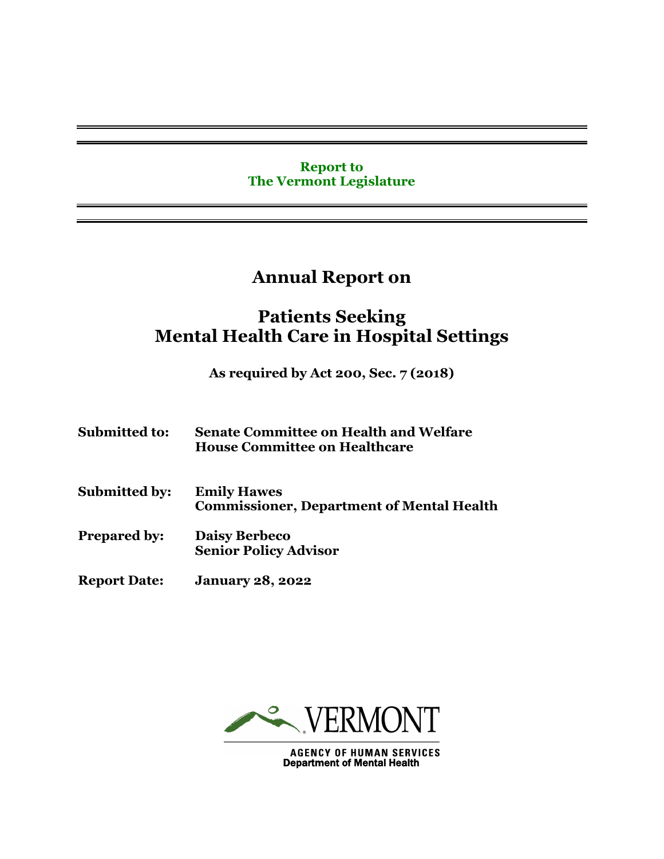## **Report to The Vermont Legislature**

# **Annual Report on**

# **Patients Seeking Mental Health Care in Hospital Settings**

**As required by Act 200, Sec. 7 (2018)**

| <b>Submitted to:</b> | <b>Senate Committee on Health and Welfare</b><br><b>House Committee on Healthcare</b> |
|----------------------|---------------------------------------------------------------------------------------|
| <b>Submitted by:</b> | <b>Emily Hawes</b><br><b>Commissioner, Department of Mental Health</b>                |
| <b>Prepared by:</b>  | <b>Daisy Berbeco</b><br><b>Senior Policy Advisor</b>                                  |
| <b>Report Date:</b>  | <b>January 28, 2022</b>                                                               |



**AGENCY OF HUMAN SERVICES** Department of Mental Health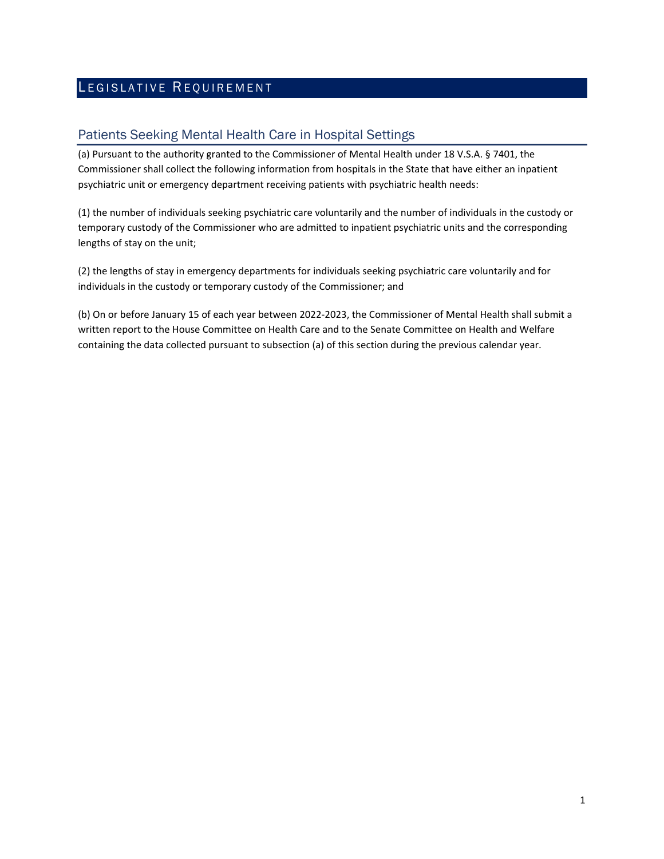# LEGISLATIVE REQUIREMENT

### Patients Seeking Mental Health Care in Hospital Settings

(a) Pursuant to the authority granted to the Commissioner of Mental Health under 18 V.S.A. § 7401, the Commissioner shall collect the following information from hospitals in the State that have either an inpatient psychiatric unit or emergency department receiving patients with psychiatric health needs:

(1) the number of individuals seeking psychiatric care voluntarily and the number of individuals in the custody or temporary custody of the Commissioner who are admitted to inpatient psychiatric units and the corresponding lengths of stay on the unit;

(2) the lengths of stay in emergency departments for individuals seeking psychiatric care voluntarily and for individuals in the custody or temporary custody of the Commissioner; and

(b) On or before January 15 of each year between 2022-2023, the Commissioner of Mental Health shall submit a written report to the House Committee on Health Care and to the Senate Committee on Health and Welfare containing the data collected pursuant to subsection (a) of this section during the previous calendar year.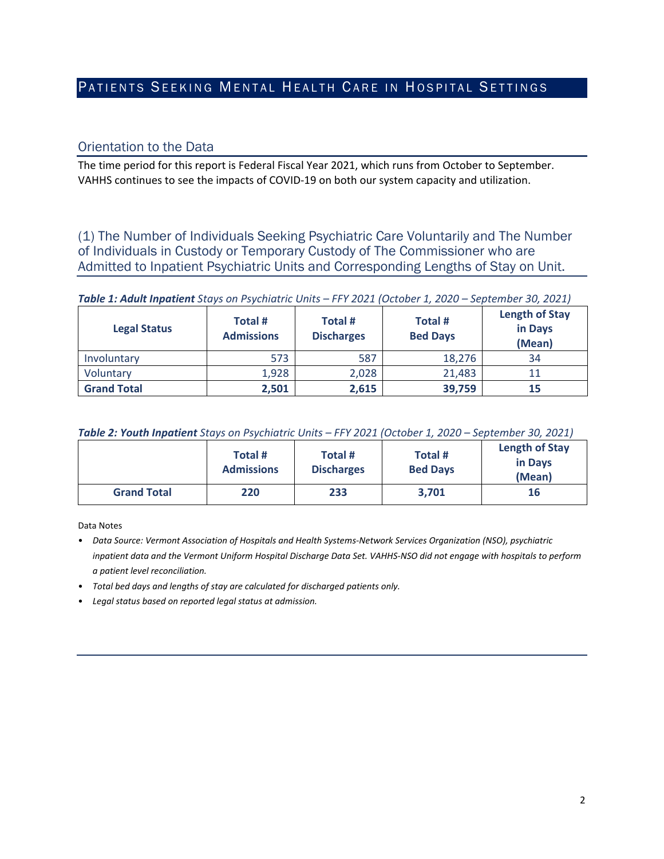## PATIENTS SEEKING MENTAL HEALTH CARE IN HOSPITAL SETTINGS

#### Orientation to the Data

The time period for this report is Federal Fiscal Year 2021, which runs from October to September. VAHHS continues to see the impacts of COVID-19 on both our system capacity and utilization.

(1) The Number of Individuals Seeking Psychiatric Care Voluntarily and The Number of Individuals in Custody or Temporary Custody of The Commissioner who are Admitted to Inpatient Psychiatric Units and Corresponding Lengths of Stay on Unit.

#### *Table 1: Adult Inpatient Stays on Psychiatric Units – FFY 2021 (October 1, 2020 – September 30, 2021)*

| <b>Legal Status</b> | Total #<br><b>Admissions</b> | Total #<br><b>Discharges</b> | Total #<br><b>Bed Days</b> | <b>Length of Stay</b><br>in Days<br>(Mean) |
|---------------------|------------------------------|------------------------------|----------------------------|--------------------------------------------|
| Involuntary         | 573                          | 587                          | 18,276                     | 34                                         |
| Voluntary           | 1,928                        | 2,028                        | 21,483                     |                                            |
| <b>Grand Total</b>  | 2,501                        | 2,615                        | 39,759                     | 15                                         |

|  | Table 2: Youth Inpatient Stays on Psychiatric Units - FFY 2021 (October 1, 2020 - September 30, 2021) |
|--|-------------------------------------------------------------------------------------------------------|
|--|-------------------------------------------------------------------------------------------------------|

|                    | Total #<br><b>Admissions</b> | Total #<br><b>Discharges</b> | Total #<br><b>Bed Days</b> | <b>Length of Stay</b><br>in Days<br>(Mean) |
|--------------------|------------------------------|------------------------------|----------------------------|--------------------------------------------|
| <b>Grand Total</b> | 220                          | 233                          | 3,701                      | 16                                         |

Data Notes

- *Data Source: Vermont Association of Hospitals and Health Systems-Network Services Organization (NSO), psychiatric inpatient data and the Vermont Uniform Hospital Discharge Data Set. VAHHS-NSO did not engage with hospitals to perform a patient level reconciliation.*
- *Total bed days and lengths of stay are calculated for discharged patients only.*
- *Legal status based on reported legal status at admission.*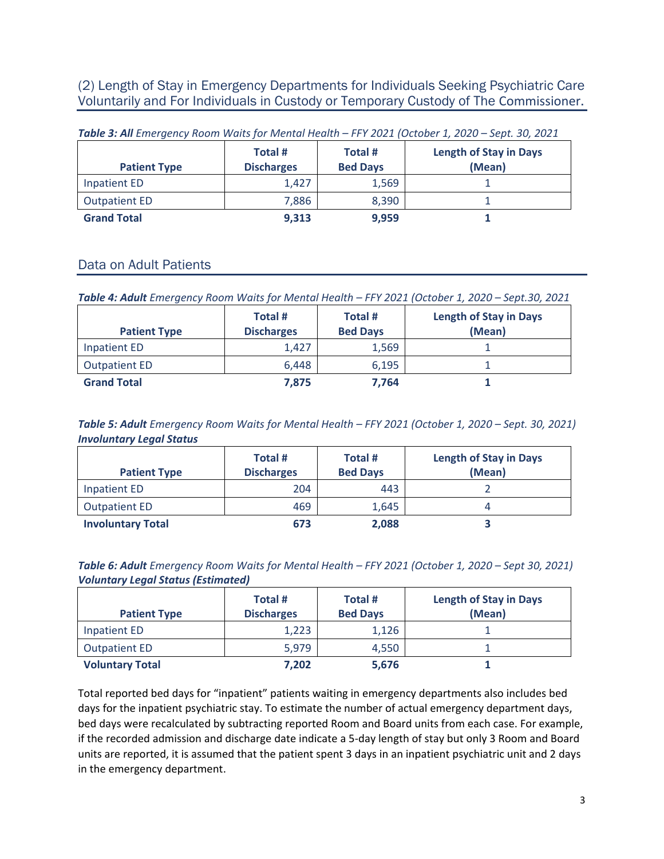(2) Length of Stay in Emergency Departments for Individuals Seeking Psychiatric Care Voluntarily and For Individuals in Custody or Temporary Custody of The Commissioner.

| <b>Patient Type</b>  | Total #<br><b>Discharges</b> | Total #<br><b>Bed Days</b> | <b>Length of Stay in Days</b><br>(Mean) |
|----------------------|------------------------------|----------------------------|-----------------------------------------|
| Inpatient ED         | 1.427                        | 1,569                      |                                         |
| <b>Outpatient ED</b> | 7,886                        | 8,390                      |                                         |
| <b>Grand Total</b>   | 9,313                        | 9,959                      |                                         |

*Table 3: All Emergency Room Waits for Mental Health – FFY 2021 (October 1, 2020 – Sept. 30, 2021*

### Data on Adult Patients

*Table 4: Adult Emergency Room Waits for Mental Health – FFY 2021 (October 1, 2020 – Sept.30, 2021*

| <b>Patient Type</b>  | Total #<br><b>Discharges</b> | Total #<br><b>Bed Days</b> | <b>Length of Stay in Days</b><br>(Mean) |
|----------------------|------------------------------|----------------------------|-----------------------------------------|
| Inpatient ED         | 1,427                        | 1,569                      |                                         |
| <b>Outpatient ED</b> | 6,448                        | 6,195                      |                                         |
| <b>Grand Total</b>   | 7,875                        | 7.764                      |                                         |

*Table 5: Adult Emergency Room Waits for Mental Health – FFY 2021 (October 1, 2020 – Sept. 30, 2021) Involuntary Legal Status*

| <b>Patient Type</b>      | Total #<br><b>Discharges</b> | Total #<br><b>Bed Days</b> | <b>Length of Stay in Days</b><br>(Mean) |
|--------------------------|------------------------------|----------------------------|-----------------------------------------|
| Inpatient ED             | 204                          | 443                        |                                         |
| <b>Outpatient ED</b>     | 469                          | 1,645                      |                                         |
| <b>Involuntary Total</b> | 673                          | 2,088                      |                                         |

*Table 6: Adult Emergency Room Waits for Mental Health – FFY 2021 (October 1, 2020 – Sept 30, 2021) Voluntary Legal Status (Estimated)*

| <b>Patient Type</b>    | Total #<br><b>Discharges</b> | Total #<br><b>Bed Days</b> | <b>Length of Stay in Days</b><br>(Mean) |
|------------------------|------------------------------|----------------------------|-----------------------------------------|
| Inpatient ED           | 1,223                        | 1,126                      |                                         |
| <b>Outpatient ED</b>   | 5,979                        | 4,550                      |                                         |
| <b>Voluntary Total</b> | 7.202                        | 5,676                      |                                         |

Total reported bed days for "inpatient" patients waiting in emergency departments also includes bed days for the inpatient psychiatric stay. To estimate the number of actual emergency department days, bed days were recalculated by subtracting reported Room and Board units from each case. For example, if the recorded admission and discharge date indicate a 5-day length of stay but only 3 Room and Board units are reported, it is assumed that the patient spent 3 days in an inpatient psychiatric unit and 2 days in the emergency department.